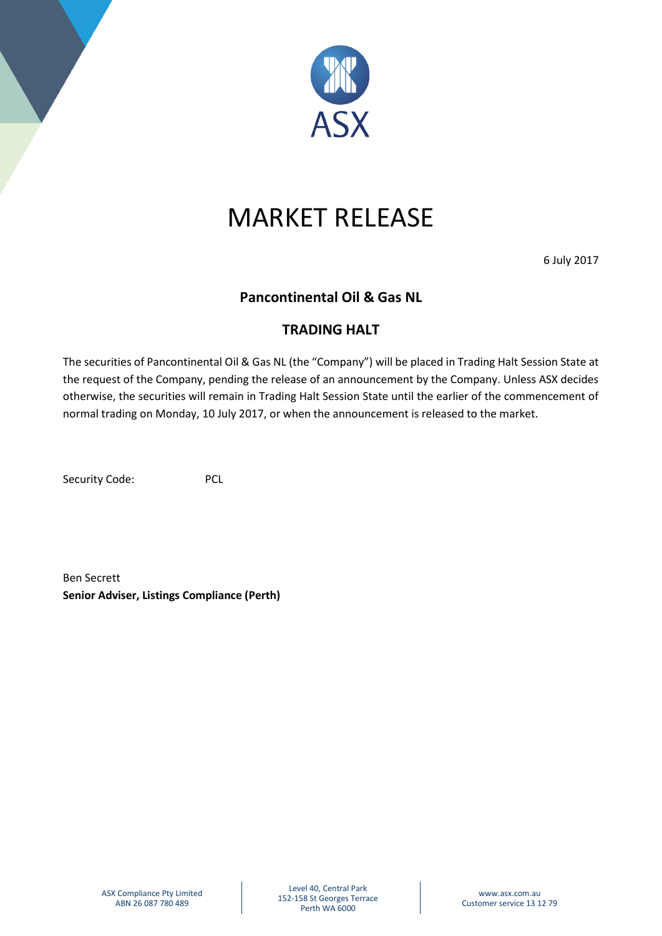

## MARKET RELEASE

6 July 2017

## **Pancontinental Oil & Gas NL**

## **TRADING HALT**

The securities of Pancontinental Oil & Gas NL (the "Company") will be placed in Trading Halt Session State at the request of the Company, pending the release of an announcement by the Company. Unless ASX decides otherwise, the securities will remain in Trading Halt Session State until the earlier of the commencement of normal trading on Monday, 10 July 2017, or when the announcement is released to the market.

Security Code: PCL

Ben Secrett **Senior Adviser, Listings Compliance (Perth)**